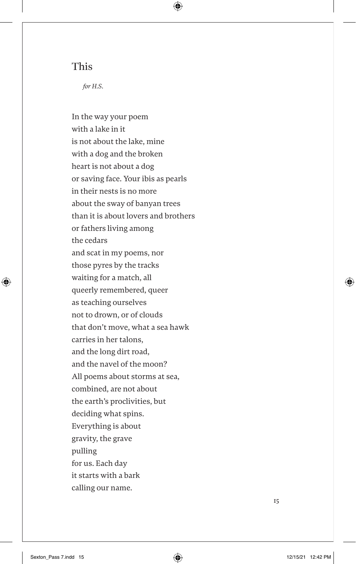### This

*for H.S*.

⊕

In the way your poem with a lake in it is not about the lake, mine with a dog and the broken heart is not about a dog or saving face. Your ibis as pearls in their nests is no more about the sway of banyan trees than it is about lovers and brothers or fathers living among the cedars and scat in my poems, nor those pyres by the tracks waiting for a match, all queerly remembered, queer as teaching ourselves not to drown, or of clouds that don't move, what a sea hawk carries in her talons, and the long dirt road, and the navel of the moon? All poems about storms at sea, combined, are not about the earth's proclivities, but deciding what spins. Everything is about gravity, the grave pulling for us. Each day it starts with a bark calling our name.

15

⊕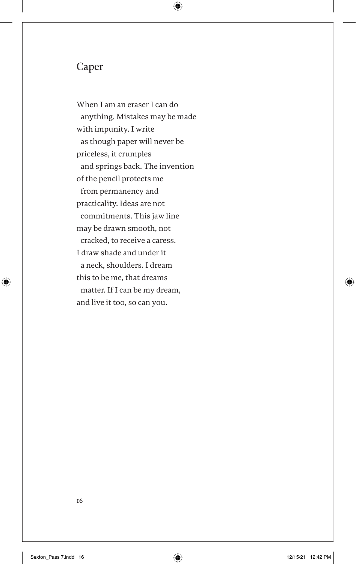### Caper

When I am an eraser I can do anything. Mistakes may be made with impunity. I write as though paper will never be priceless, it crumples and springs back. The invention of the pencil protects me from permanency and practicality. Ideas are not commitments. This jaw line may be drawn smooth, not cracked, to receive a caress. I draw shade and under it a neck, shoulders. I dream this to be me, that dreams matter. If I can be my dream, and live it too, so can you.

 $\bigoplus$ 

⊕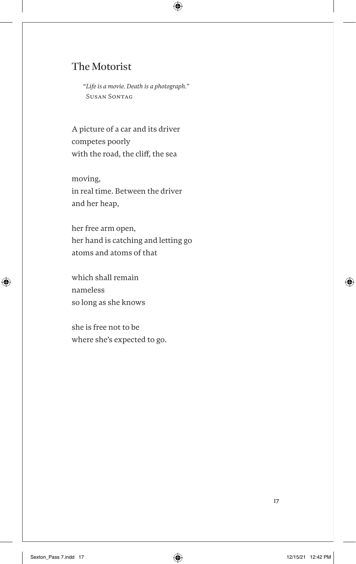# The Motorist

"*Life is a movie. Death is a photograph."* Susan Sontag

 $\bigoplus$ 

A picture of a car and its driver competes poorly with the road, the cliff, the sea

moving, in real time. Between the driver and her heap,

her free arm open, her hand is catching and letting go atoms and atoms of that

which shall remain nameless so long as she knows

 $\bigoplus$ 

she is free not to be where she's expected to go.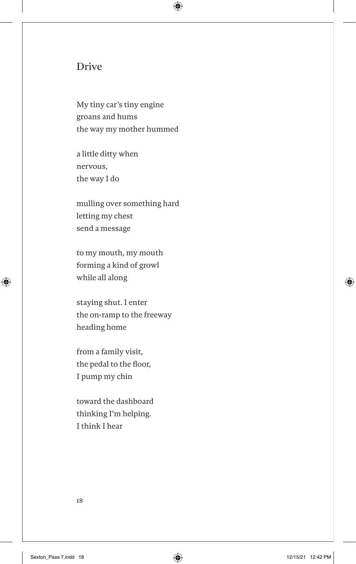#### Drive

My tiny car's tiny engine groans and hums the way my mother hummed

 $\bigoplus$ 

a little ditty when nervous, the way I do

mulling over something hard letting my chest send a message

to my mouth, my mouth forming a kind of growl while all along

staying shut. I enter the on-ramp to the freeway heading home

from a family visit, the pedal to the floor, I pump my chin

toward the dashboard thinking I'm helping. I think I hear

18

⊕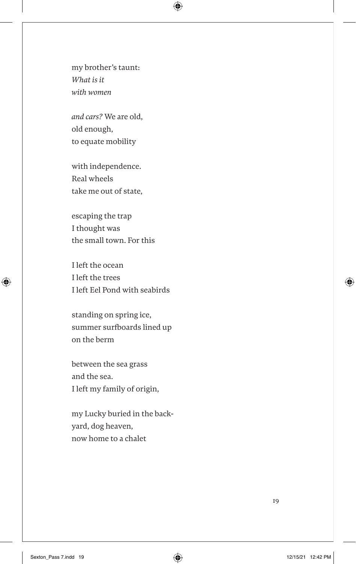## my brother's taunt: *What is it with women*

 $\bigoplus$ 

*and cars?* We are old, old enough, to equate mobility

with independence. Real wheels take me out of state,

escaping the trap I thought was the small town. For this

I left the ocean I left the trees I left Eel Pond with seabirds

standing on spring ice, summer surfboards lined up on the berm

between the sea grass and the sea. I left my family of origin,

my Lucky buried in the backyard, dog heaven, now home to a chalet

19

 $\bigoplus$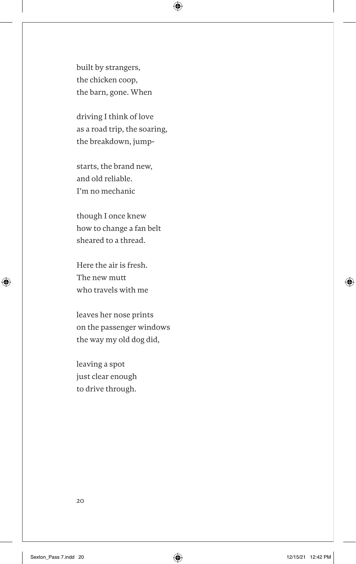built by strangers, the chicken coop, the barn, gone. When  $\bigoplus$ 

driving I think of love as a road trip, the soaring, the breakdown, jump-

starts, the brand new, and old reliable. I'm no mechanic

though I once knew how to change a fan belt sheared to a thread.

Here the air is fresh. The new mutt who travels with me

leaves her nose prints on the passenger windows the way my old dog did,

leaving a spot just clear enough to drive through.

20

 $\bigoplus$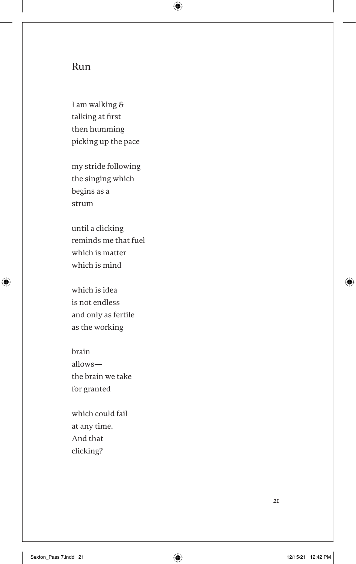### Run

I am walking & talking at first then humming picking up the pace  $\bigoplus$ 

my stride following the singing which begins as a strum

until a clicking reminds me that fuel which is matter which is mind

which is idea is not endless and only as fertile as the working

 $\bigoplus$ 

brain allows the brain we take for granted

which could fail at any time. And that clicking?

21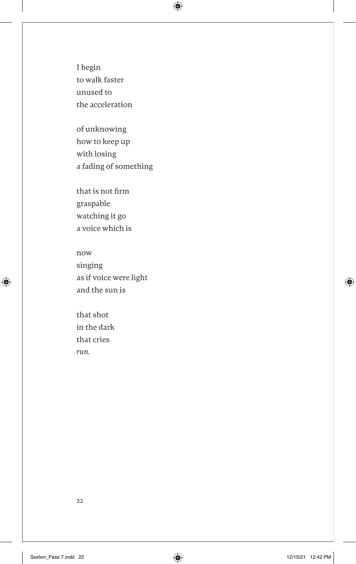I begin to walk faster unused to the acceleration  $\bigoplus$ 

of unknowing how to keep up with losing a fading of something

that is not firm graspable watching it go a voice which is

now singing as if voice were light and the sun is

that shot in the dark that cries *run.*

 $\bigoplus$ 

22

 $\bigoplus$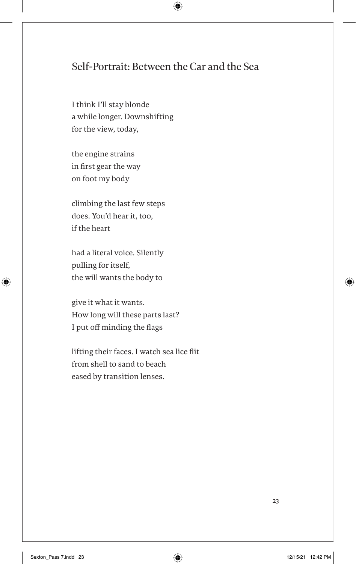# Self-Portrait: Between the Car and the Sea

 $\bigoplus$ 

I think I'll stay blonde a while longer. Downshifting for the view, today,

the engine strains in first gear the way on foot my body

climbing the last few steps does. You'd hear it, too, if the heart

had a literal voice. Silently pulling for itself, the will wants the body to

give it what it wants. How long will these parts last? I put off minding the flags

lifting their faces. I watch sea lice flit from shell to sand to beach eased by transition lenses.

23

⊕